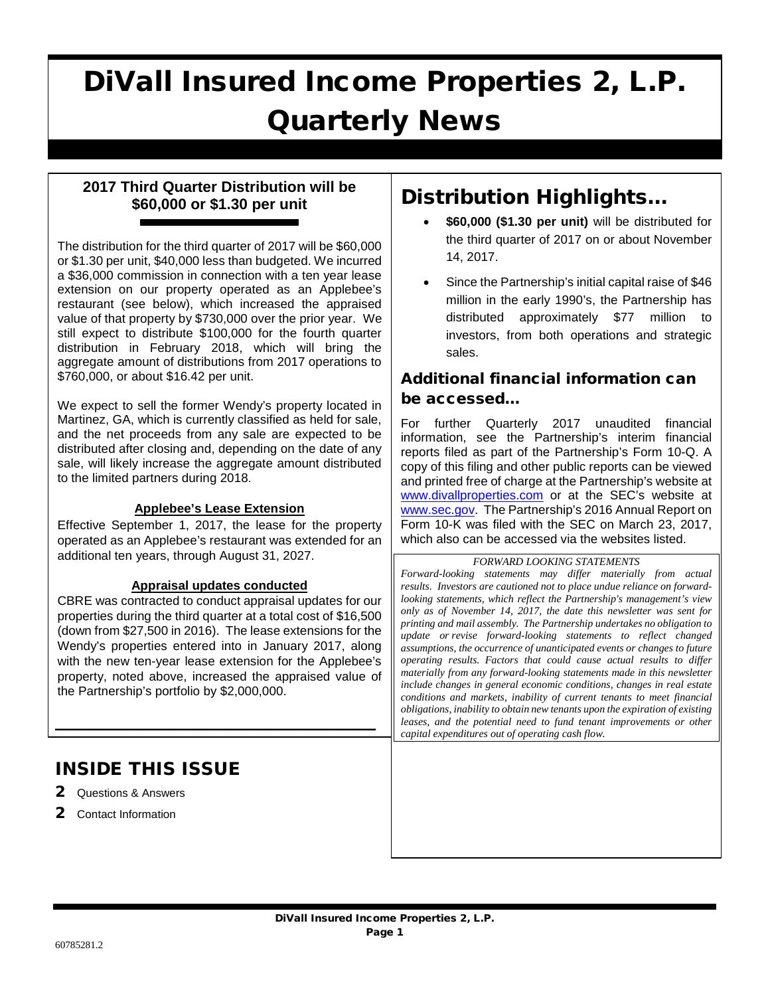# DiVall Insured Income Properties 2, L.P. Quarterly News

## **2017 Third Quarter Distribution will be \$60,000 or \$1.30 per unit**

The distribution for the third quarter of 2017 will be \$60,000 or \$1.30 per unit, \$40,000 less than budgeted. We incurred a \$36,000 commission in connection with a ten year lease extension on our property operated as an Applebee's restaurant (see below), which increased the appraised value of that property by \$730,000 over the prior year. We still expect to distribute \$100,000 for the fourth quarter distribution in February 2018, which will bring the aggregate amount of distributions from 2017 operations to \$760,000, or about \$16.42 per unit.

We expect to sell the former Wendy's property located in Martinez, GA, which is currently classified as held for sale, and the net proceeds from any sale are expected to be distributed after closing and, depending on the date of any sale, will likely increase the aggregate amount distributed to the limited partners during 2018.

#### **Applebee's Lease Extension**

Effective September 1, 2017, the lease for the property operated as an Applebee's restaurant was extended for an additional ten years, through August 31, 2027.

#### **Appraisal updates conducted**

CBRE was contracted to conduct appraisal updates for our properties during the third quarter at a total cost of \$16,500 (down from \$27,500 in 2016). The lease extensions for the Wendy's properties entered into in January 2017, along with the new ten-year lease extension for the Applebee's property, noted above, increased the appraised value of the Partnership's portfolio by \$2,000,000.

 $\mathcal{L}_\text{max} = \mathcal{L}_\text{max} = \mathcal{L}_\text{max} = \mathcal{L}_\text{max} = \mathcal{L}_\text{max} = \mathcal{L}_\text{max} = \mathcal{L}_\text{max} = \mathcal{L}_\text{max} = \mathcal{L}_\text{max} = \mathcal{L}_\text{max} = \mathcal{L}_\text{max} = \mathcal{L}_\text{max} = \mathcal{L}_\text{max} = \mathcal{L}_\text{max} = \mathcal{L}_\text{max} = \mathcal{L}_\text{max} = \mathcal{L}_\text{max} = \mathcal{L}_\text{max} = \mathcal{$ 

# INSIDE THIS ISSUE

- 2 Questions & Answers
- 2 Contact Information

# Distribution Highlights…

- **\$60,000 (\$1.30 per unit)** will be distributed for the third quarter of 2017 on or about November 14, 2017.
- Since the Partnership's initial capital raise of \$46 million in the early 1990's, the Partnership has distributed approximately \$77 million to investors, from both operations and strategic sales.

# Additional financial information can be accessed…

For further Quarterly 2017 unaudited financial information, see the Partnership's interim financial reports filed as part of the Partnership's Form 10-Q. A copy of this filing and other public reports can be viewed and printed free of charge at the Partnership's website at [www.divallproperties.com](http://www.divallproperties.com/) or at the SEC's website at [www.sec.gov.](http://www.sec.gov/) The Partnership's 2016 Annual Report on Form 10-K was filed with the SEC on March 23, 2017, which also can be accessed via the websites listed.

#### *FORWARD LOOKING STATEMENTS*

*Forward-looking statements may differ materially from actual results. Investors are cautioned not to place undue reliance on forwardlooking statements, which reflect the Partnership's management's view only as of November 14, 2017, the date this newsletter was sent for printing and mail assembly. The Partnership undertakes no obligation to update or revise forward-looking statements to reflect changed assumptions, the occurrence of unanticipated events or changes to future operating results. Factors that could cause actual results to differ materially from any forward-looking statements made in this newsletter include changes in general economic conditions, changes in real estate conditions and markets, inability of current tenants to meet financial obligations, inability to obtain new tenants upon the expiration of existing leases, and the potential need to fund tenant improvements or other capital expenditures out of operating cash flow.*